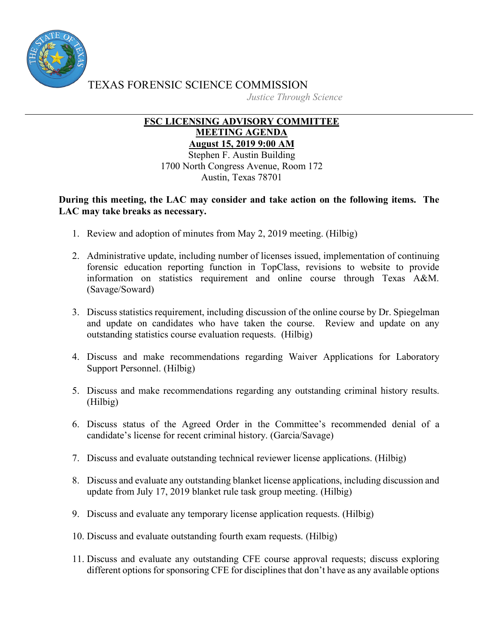

TEXAS FORENSIC SCIENCE COMMISSION *Justice Through Science*

## U **FSC LICENSING ADVISORY COMMITTEE MEETING AGENDA August 15, 2019 9:00 AM**

Stephen F. Austin Building 1700 North Congress Avenue, Room 172 Austin, Texas 78701

**During this meeting, the LAC may consider and take action on the following items. The LAC may take breaks as necessary.**

- 1. Review and adoption of minutes from May 2, 2019 meeting. (Hilbig)
- 2. Administrative update, including number of licenses issued, implementation of continuing forensic education reporting function in TopClass, revisions to website to provide information on statistics requirement and online course through Texas A&M. (Savage/Soward)
- 3. Discuss statistics requirement, including discussion of the online course by Dr. Spiegelman and update on candidates who have taken the course. Review and update on any outstanding statistics course evaluation requests. (Hilbig)
- 4. Discuss and make recommendations regarding Waiver Applications for Laboratory Support Personnel. (Hilbig)
- 5. Discuss and make recommendations regarding any outstanding criminal history results. (Hilbig)
- 6. Discuss status of the Agreed Order in the Committee's recommended denial of a candidate's license for recent criminal history. (Garcia/Savage)
- 7. Discuss and evaluate outstanding technical reviewer license applications. (Hilbig)
- 8. Discuss and evaluate any outstanding blanket license applications, including discussion and update from July 17, 2019 blanket rule task group meeting. (Hilbig)
- 9. Discuss and evaluate any temporary license application requests. (Hilbig)
- 10. Discuss and evaluate outstanding fourth exam requests. (Hilbig)
- 11. Discuss and evaluate any outstanding CFE course approval requests; discuss exploring different options for sponsoring CFE for disciplines that don't have as any available options